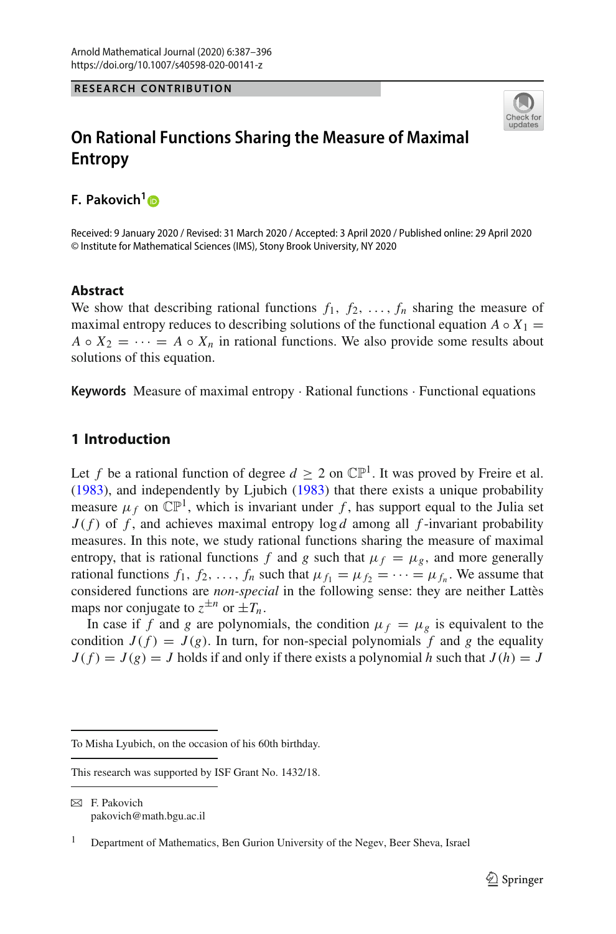#### **RESEARCH CONTRIBUTION**



## **On Rational Functions Sharing the Measure of Maximal Entropy**

**F. Pakovich[1](http://orcid.org/0000-0002-0096-9781)**

Received: 9 January 2020 / Revised: 31 March 2020 / Accepted: 3 April 2020 / Published online: 29 April 2020 © Institute for Mathematical Sciences (IMS), Stony Brook University, NY 2020

#### **Abstract**

We show that describing rational functions  $f_1, f_2, \ldots, f_n$  sharing the measure of maximal entropy reduces to describing solutions of the functional equation  $A \circ X_1 =$ *A*  $\circ$  *X*<sub>2</sub> =  $\cdots$  = *A*  $\circ$  *X<sub>n</sub>* in rational functions. We also provide some results about solutions of this equation.

**Keywords** Measure of maximal entropy · Rational functions · Functional equations

### **1 Introduction**

Let *f* be a rational function of degree  $d \geq 2$  on  $\mathbb{CP}^1$ [.](#page-9-0) It was proved by Freire et al. [\(1983\)](#page-9-0), and independently by Ljubic[h](#page-9-1) [\(1983\)](#page-9-1) that there exists a unique probability measure  $\mu_f$  on  $\mathbb{CP}^1$ , which is invariant under f, has support equal to the Julia set  $J(f)$  of f, and achieves maximal entropy  $\log d$  among all f-invariant probability measures. In this note, we study rational functions sharing the measure of maximal entropy, that is rational functions *f* and *g* such that  $\mu_f = \mu_g$ , and more generally rational functions  $f_1, f_2, \ldots, f_n$  such that  $\mu_{f_1} = \mu_{f_2} = \cdots = \mu_{f_n}$ . We assume that considered functions are *non-special* in the following sense: they are neither Lattès maps nor conjugate to  $z^{\pm n}$  or  $\pm T_n$ .

In case if *f* and *g* are polynomials, the condition  $\mu_f = \mu_g$  is equivalent to the condition  $J(f) = J(g)$ . In turn, for non-special polynomials f and g the equality  $J(f) = J(g) = J$  holds if and only if there exists a polynomial *h* such that  $J(h) = J$ 

To Misha Lyubich, on the occasion of his 60th birthday.

This research was supported by ISF Grant No. 1432/18.

 $\boxtimes$  F. Pakovich pakovich@math.bgu.ac.il

<sup>&</sup>lt;sup>1</sup> Department of Mathematics, Ben Gurion University of the Negev, Beer Sheva, Israel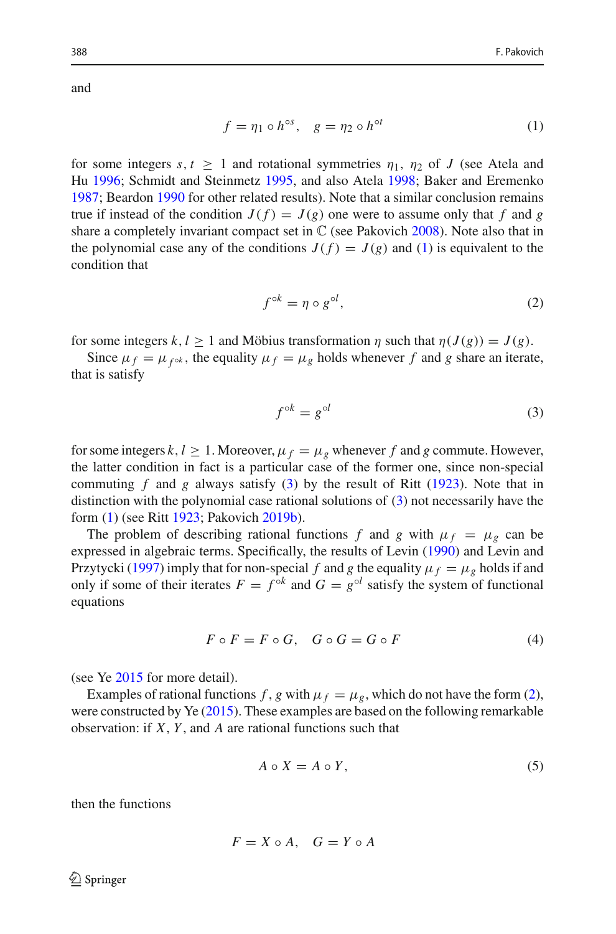and

<span id="page-1-0"></span>
$$
f = \eta_1 \circ h^{\circ s}, \quad g = \eta_2 \circ h^{\circ t} \tag{1}
$$

for some integers  $s, t > 1$  and rotational symmetries  $\eta_1, \eta_2$  of *J* (see Atela and H[u](#page-8-0) [1996](#page-8-0); Schmidt and Steinmet[z](#page-9-2) [1995](#page-9-2), and also Atel[a](#page-8-1) [1998;](#page-8-1) Baker and Eremenk[o](#page-8-2) [1987;](#page-8-2) Beardo[n](#page-8-3) [1990](#page-8-3) for other related results). Note that a similar conclusion remains true if instead of the condition  $J(f) = J(g)$  one were to assume only that f and g s[h](#page-9-3)are a completely invariant compact set in  $\mathbb C$  (see Pakovich [2008\)](#page-9-3). Note also that in the polynomial case any of the conditions  $J(f) = J(g)$  and [\(1\)](#page-1-0) is equivalent to the condition that

<span id="page-1-2"></span>
$$
f^{\circ k} = \eta \circ g^{\circ l},\tag{2}
$$

for some integers  $k, l \ge 1$  and Möbius transformation  $\eta$  such that  $\eta(J(g)) = J(g)$ .

Since  $\mu_f = \mu_{f^{\circ k}}$ , the equality  $\mu_f = \mu_g$  holds whenever f and g share an iterate, that is satisfy

<span id="page-1-1"></span>
$$
f^{\circ k} = g^{\circ l} \tag{3}
$$

for some integers  $k, l \geq 1$ . Moreover,  $\mu_f = \mu_g$  whenever f and g commute. However, the latter condition in fact is a particular case of the former one, since non-special commu[t](#page-9-4)ing  $f$  and  $g$  always satisfy  $(3)$  by the result of Ritt [\(1923\)](#page-9-4). Note that in distinction with the polynomial case rational solutions of [\(3\)](#page-1-1) not necessarily have the form [\(1\)](#page-1-0) (see Rit[t](#page-9-4) [1923;](#page-9-4) Pakovic[h](#page-9-5) [2019b](#page-9-5)).

The problem of describing rational functions *f* and *g* with  $\mu_f = \mu_g$  can be expressed in algebraic terms. Specifically, the results of Levi[n](#page-9-6) [\(1990\)](#page-9-6) and Levin and Przytyck[i](#page-9-7) [\(1997](#page-9-7)) imply that for non-special *f* and *g* the equality  $\mu_f = \mu_g$  holds if and only if some of their iterates  $F = f^{\circ k}$  and  $G = g^{\circ l}$  satisfy the system of functional equations

<span id="page-1-3"></span>
$$
F \circ F = F \circ G, \quad G \circ G = G \circ F \tag{4}
$$

(see Y[e](#page-9-8) [2015](#page-9-8) for more detail).

Examples of rational functions *f*, *g* with  $\mu_f = \mu_g$ , which do not have the form [\(2\)](#page-1-2), were constructed by Y[e](#page-9-8) [\(2015\)](#page-9-8). These examples are based on the following remarkable observation: if *X*, *Y* , and *A* are rational functions such that

<span id="page-1-4"></span>
$$
A \circ X = A \circ Y,\tag{5}
$$

then the functions

$$
F = X \circ A, \quad G = Y \circ A
$$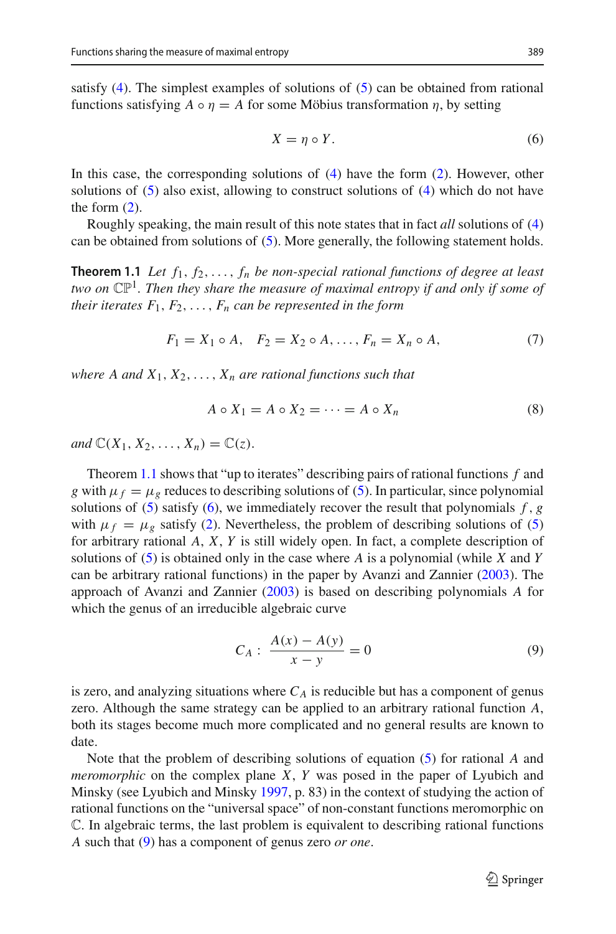satisfy [\(4\)](#page-1-3). The simplest examples of solutions of [\(5\)](#page-1-4) can be obtained from rational functions satisfying  $A \circ \eta = A$  for some Möbius transformation  $\eta$ , by setting

<span id="page-2-1"></span>
$$
X = \eta \circ Y. \tag{6}
$$

In this case, the corresponding solutions of [\(4\)](#page-1-3) have the form [\(2\)](#page-1-2). However, other solutions of  $(5)$  also exist, allowing to construct solutions of  $(4)$  which do not have the form  $(2)$ .

<span id="page-2-0"></span>Roughly speaking, the main result of this note states that in fact *all* solutions of [\(4\)](#page-1-3) can be obtained from solutions of [\(5\)](#page-1-4). More generally, the following statement holds.

**Theorem 1.1** *Let f*1, *f*2,..., *fn be non-special rational functions of degree at least two on* CP1*. Then they share the measure of maximal entropy if and only if some of their iterates*  $F_1, F_2, \ldots, F_n$  *can be represented in the form* 

<span id="page-2-4"></span>
$$
F_1 = X_1 \circ A, \quad F_2 = X_2 \circ A, \dots, F_n = X_n \circ A,\tag{7}
$$

*where A and*  $X_1, X_2, \ldots, X_n$  *are rational functions such that* 

<span id="page-2-3"></span>
$$
A \circ X_1 = A \circ X_2 = \dots = A \circ X_n \tag{8}
$$

*and*  $\mathbb{C}(X_1, X_2, ..., X_n) = \mathbb{C}(z)$ .

Theorem [1.1](#page-2-0) shows that "up to iterates" describing pairs of rational functions *f* and *g* with  $\mu_f = \mu_g$  reduces to describing solutions of [\(5\)](#page-1-4). In particular, since polynomial solutions of  $(5)$  satisfy  $(6)$ , we immediately recover the result that polynomials  $f$ ,  $g$ with  $\mu_f = \mu_g$  satisfy [\(2\)](#page-1-2). Nevertheless, the problem of describing solutions of [\(5\)](#page-1-4) for arbitrary rational *A*, *X*, *Y* is still widely open. In fact, a complete description of solutions of [\(5\)](#page-1-4) is obtained only in the case where *A* is a polynomial (while *X* and *Y* can be arbitrary rational functions) in the paper by Avanzi and Zannie[r](#page-8-4) [\(2003\)](#page-8-4). The approach of Avanzi and Zannie[r](#page-8-4) [\(2003](#page-8-4)) is based on describing polynomials *A* for which the genus of an irreducible algebraic curve

<span id="page-2-2"></span>
$$
C_A: \frac{A(x) - A(y)}{x - y} = 0
$$
\n(9)

is zero, and analyzing situations where  $C_A$  is reducible but has a component of genus zero. Although the same strategy can be applied to an arbitrary rational function *A*, both its stages become much more complicated and no general results are known to date.

Note that the problem of describing solutions of equation [\(5\)](#page-1-4) for rational *A* and *meromorphic* on the complex plane *X*, *Y* was posed in the paper of Lyubich and Minsky (see Lyubich and Minsk[y](#page-9-9) [1997,](#page-9-9) p. 83) in the context of studying the action of rational functions on the "universal space" of non-constant functions meromorphic on C. In algebraic terms, the last problem is equivalent to describing rational functions *A* such that [\(9\)](#page-2-2) has a component of genus zero *or one*.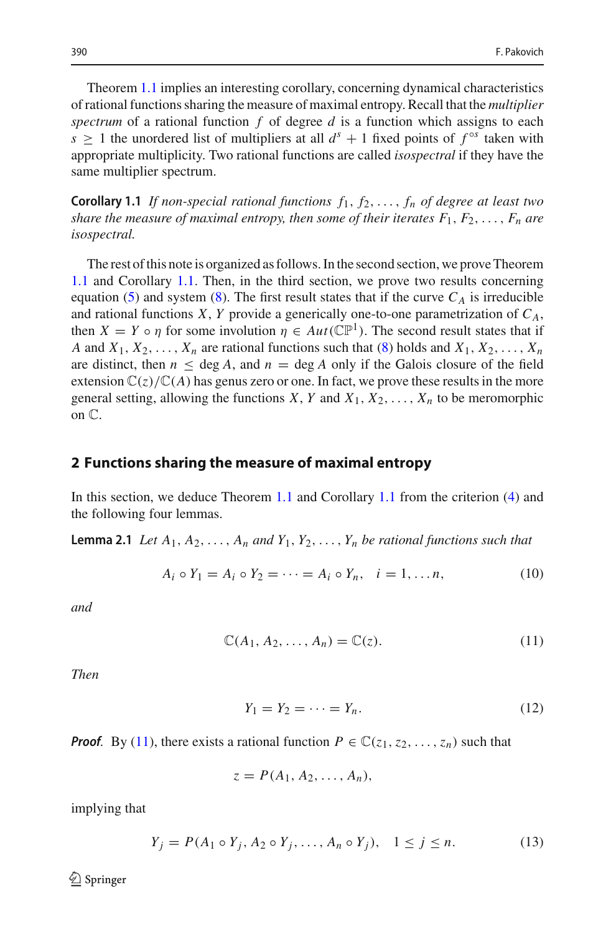Theorem [1.1](#page-2-0) implies an interesting corollary, concerning dynamical characteristics of rational functions sharing the measure of maximal entropy. Recall that the *multiplier spectrum* of a rational function *f* of degree *d* is a function which assigns to each *s*  $\geq$  1 the unordered list of multipliers at all  $d^s + 1$  fixed points of  $f^{\circ s}$  taken with appropriate multiplicity. Two rational functions are called *isospectral* if they have the same multiplier spectrum.

<span id="page-3-0"></span>**Corollary 1.1** *If non-special rational functions*  $f_1, f_2, \ldots, f_n$  *of degree at least two share the measure of maximal entropy, then some of their iterates*  $F_1, F_2, \ldots, F_n$  are *isospectral.*

The rest of this note is organized as follows. In the second section, we prove Theorem [1.1](#page-2-0) and Corollary [1.1.](#page-3-0) Then, in the third section, we prove two results concerning equation [\(5\)](#page-1-4) and system [\(8\)](#page-2-3). The first result states that if the curve  $C_A$  is irreducible and rational functions *X*, *Y* provide a generically one-to-one parametrization of  $C_A$ , then  $X = Y \circ \eta$  for some involution  $\eta \in Aut(\mathbb{CP}^1)$ . The second result states that if *A* and  $X_1, X_2, \ldots, X_n$  are rational functions such that [\(8\)](#page-2-3) holds and  $X_1, X_2, \ldots, X_n$ are distinct, then  $n \le \deg A$ , and  $n = \deg A$  only if the Galois closure of the field extension  $\mathbb{C}(z)/\mathbb{C}(A)$  has genus zero or one. In fact, we prove these results in the more general setting, allowing the functions  $X, Y$  and  $X_1, X_2, \ldots, X_n$  to be meromorphic on C.

#### **2 Functions sharing the measure of maximal entropy**

In this section, we deduce Theorem [1.1](#page-2-0) and Corollary [1.1](#page-3-0) from the criterion [\(4\)](#page-1-3) and the following four lemmas.

**Lemma 2.1** *Let*  $A_1, A_2, \ldots, A_n$  *and*  $Y_1, Y_2, \ldots, Y_n$  *be rational functions such that* 

<span id="page-3-5"></span><span id="page-3-4"></span>
$$
A_i \circ Y_1 = A_i \circ Y_2 = \dots = A_i \circ Y_n, \quad i = 1, \dots n,
$$
 (10)

*and*

<span id="page-3-1"></span>
$$
\mathbb{C}(A_1, A_2, \dots, A_n) = \mathbb{C}(z). \tag{11}
$$

*Then*

<span id="page-3-2"></span>
$$
Y_1 = Y_2 = \dots = Y_n. \tag{12}
$$

*Proof.* By [\(11\)](#page-3-1), there exists a rational function  $P \in \mathbb{C}(\mathfrak{z}_1, \mathfrak{z}_2, \ldots, \mathfrak{z}_n)$  such that

$$
z = P(A_1, A_2, \ldots, A_n),
$$

implying that

<span id="page-3-3"></span>
$$
Y_j = P(A_1 \circ Y_j, A_2 \circ Y_j, \dots, A_n \circ Y_j), \quad 1 \le j \le n. \tag{13}
$$

 $\textcircled{2}$  Springer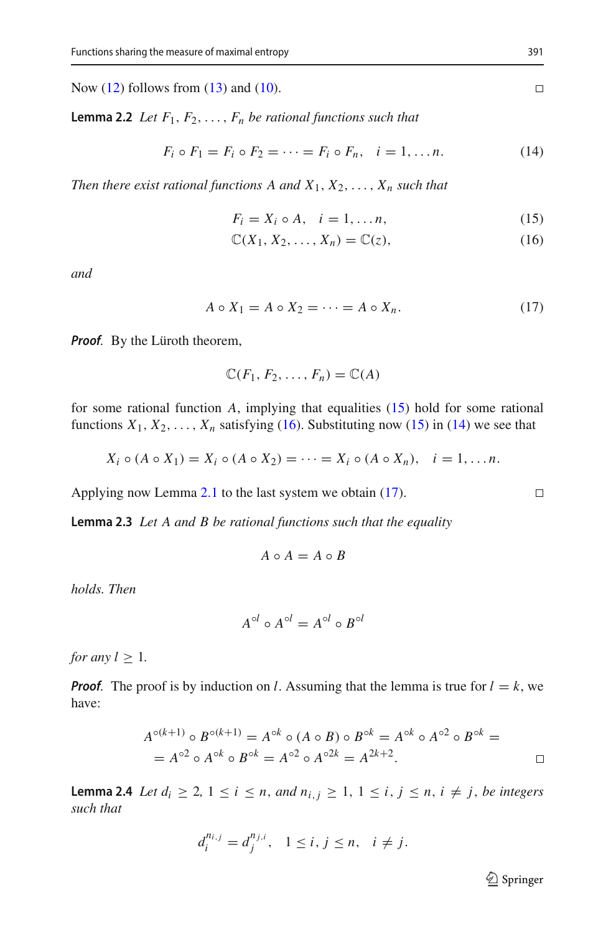<span id="page-4-4"></span>Now  $(12)$  follows from  $(13)$  and  $(10)$ .

**Lemma 2.2** *Let*  $F_1, F_2, \ldots, F_n$  *be rational functions such that* 

<span id="page-4-1"></span>
$$
F_i \circ F_1 = F_i \circ F_2 = \dots = F_i \circ F_n, \quad i = 1, \dots n.
$$
 (14)

*Then there exist rational functions A and*  $X_1, X_2, \ldots, X_n$  *such that* 

<span id="page-4-0"></span>
$$
F_i = X_i \circ A, \quad i = 1, \dots n,
$$
\n<sup>(15)</sup>

$$
\mathbb{C}(X_1, X_2, \dots, X_n) = \mathbb{C}(z),\tag{16}
$$

*and*

<span id="page-4-2"></span>
$$
A \circ X_1 = A \circ X_2 = \dots = A \circ X_n. \tag{17}
$$

*Proof.* By the Lüroth theorem,

$$
\mathbb{C}(F_1,F_2,\ldots,F_n)=\mathbb{C}(A)
$$

for some rational function *A*, implying that equalities [\(15\)](#page-4-0) hold for some rational functions  $X_1, X_2, \ldots, X_n$  satisfying [\(16\)](#page-4-0). Substituting now [\(15\)](#page-4-0) in [\(14\)](#page-4-1) we see that

$$
X_i \circ (A \circ X_1) = X_i \circ (A \circ X_2) = \cdots = X_i \circ (A \circ X_n), \quad i = 1, \ldots n.
$$

<span id="page-4-3"></span>Applying now Lemma [2.1](#page-3-5) to the last system we obtain [\(17\)](#page-4-2).

**Lemma 2.3** *Let A and B be rational functions such that the equality*

$$
A \circ A = A \circ B
$$

*holds. Then*

$$
A^{\circ l} \circ A^{\circ l} = A^{\circ l} \circ B^{\circ l}
$$

*for any*  $l \geq 1$ *.* 

*Proof.* The proof is by induction on *l*. Assuming that the lemma is true for  $l = k$ , we have:

$$
A^{\circ (k+1)} \circ B^{\circ (k+1)} = A^{\circ k} \circ (A \circ B) \circ B^{\circ k} = A^{\circ k} \circ A^{\circ 2} \circ B^{\circ k} =
$$
  
=  $A^{\circ 2} \circ A^{\circ k} \circ B^{\circ k} = A^{\circ 2} \circ A^{\circ 2k} = A^{2k+2}.$ 

<span id="page-4-5"></span>**Lemma 2.4** *Let*  $d_i \geq 2, 1 \leq i \leq n$ , *and*  $n_{i,j} \geq 1, 1 \leq i, j \leq n$ ,  $i \neq j$ , *be integers such that*

$$
d_i^{n_{i,j}} = d_j^{n_{j,i}}, \quad 1 \le i, j \le n, \quad i \ne j.
$$

<sup>2</sup> Springer

 $\Box$ 

$$
\Box
$$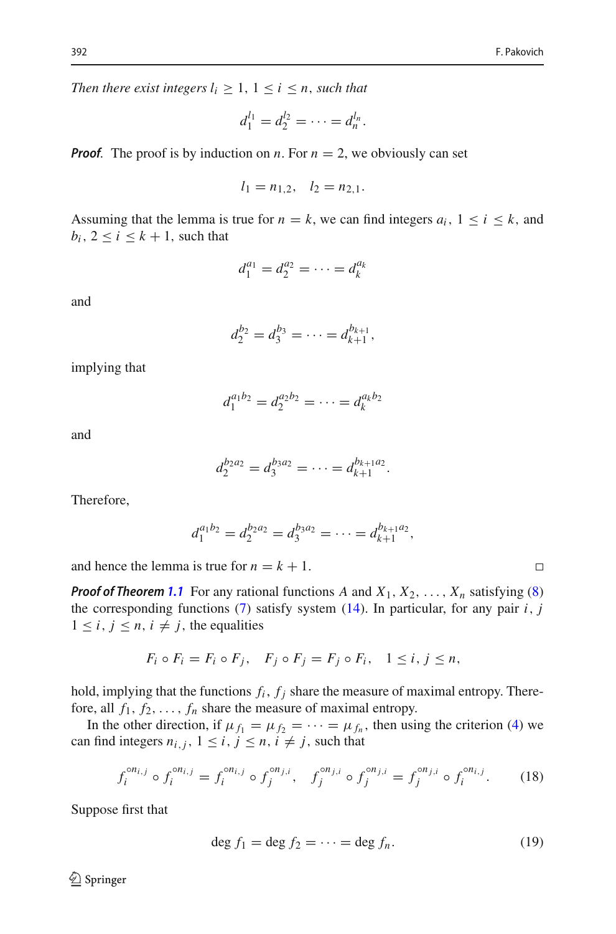*Then there exist integers*  $l_i \geq 1, 1 \leq i \leq n$ , *such that* 

$$
d_1^{l_1} = d_2^{l_2} = \cdots = d_n^{l_n}.
$$

*Proof.* The proof is by induction on *n*. For  $n = 2$ , we obviously can set

$$
l_1 = n_{1,2}, \quad l_2 = n_{2,1}.
$$

Assuming that the lemma is true for  $n = k$ , we can find integers  $a_i$ ,  $1 \le i \le k$ , and  $b_i$ ,  $2 \le i \le k+1$ , such that

$$
d_1^{a_1} = d_2^{a_2} = \cdots = d_k^{a_k}
$$

and

$$
d_2^{b_2}=d_3^{b_3}=\cdots=d_{k+1}^{b_{k+1}},
$$

implying that

$$
d_1^{a_1b_2} = d_2^{a_2b_2} = \cdots = d_k^{a_kb_2}
$$

and

$$
d_2^{b_2a_2}=d_3^{b_3a_2}=\cdots=d_{k+1}^{b_{k+1}a_2}.
$$

Therefore,

$$
d_1^{a_1b_2}=d_2^{b_2a_2}=d_3^{b_3a_2}=\cdots=d_{k+1}^{b_{k+1}a_2},
$$

and hence the lemma is true for  $n = k + 1$ .

*Proof of Theorem* [1.1](#page-2-0) For any rational functions *A* and  $X_1, X_2, \ldots, X_n$  satisfying [\(8\)](#page-2-3) the corresponding functions  $(7)$  satisfy system  $(14)$ . In particular, for any pair *i*, *j*  $1 \leq i, j \leq n, i \neq j$ , the equalities

$$
F_i \circ F_i = F_i \circ F_j, \quad F_j \circ F_j = F_j \circ F_i, \quad 1 \leq i, j \leq n,
$$

hold, implying that the functions  $f_i$ ,  $f_j$  share the measure of maximal entropy. Therefore, all  $f_1, f_2, \ldots, f_n$  share the measure of maximal entropy.

In the other direction, if  $\mu_{f_1} = \mu_{f_2} = \cdots = \mu_{f_n}$ , then using the criterion [\(4\)](#page-1-3) we can find integers  $n_{i,j}$ ,  $1 \le i, j \le n, i \ne j$ , such that

<span id="page-5-0"></span>
$$
f_i^{on_{i,j}} \circ f_i^{on_{i,j}} = f_i^{on_{i,j}} \circ f_j^{on_{j,i}}, \quad f_j^{on_{j,i}} \circ f_j^{on_{j,i}} = f_j^{on_{j,i}} \circ f_i^{on_{i,j}}.
$$
 (18)

Suppose first that

<span id="page-5-1"></span>
$$
\deg f_1 = \deg f_2 = \dots = \deg f_n. \tag{19}
$$

 $\Box$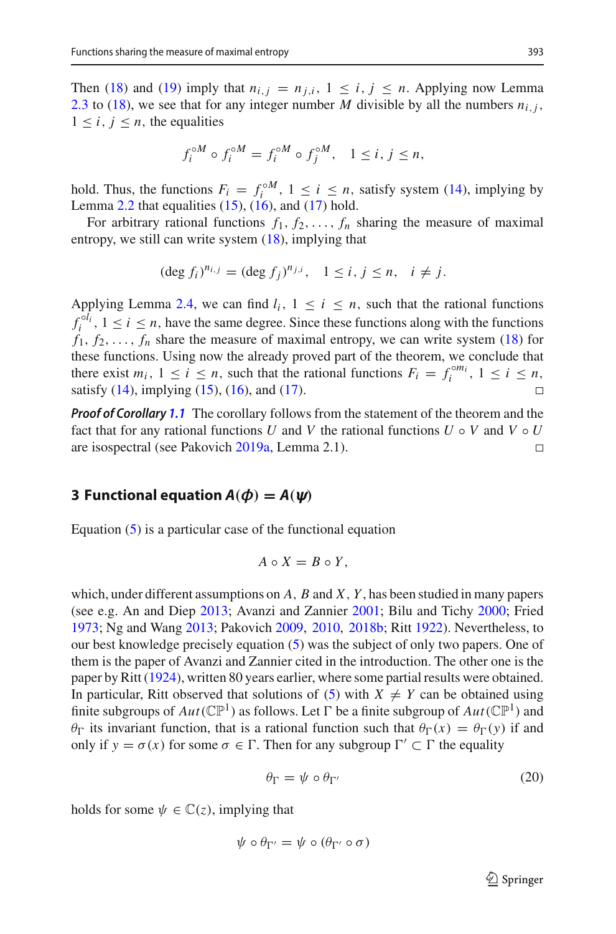Then [\(18\)](#page-5-0) and [\(19\)](#page-5-1) imply that  $n_{i,j} = n_{j,i}$ ,  $1 \leq i, j \leq n$ . Applying now Lemma [2.3](#page-4-3) to [\(18\)](#page-5-0), we see that for any integer number *M* divisible by all the numbers  $n_{i,j}$ ,  $1 \leq i, j \leq n$ , the equalities

$$
f_i^{\circ M} \circ f_i^{\circ M} = f_i^{\circ M} \circ f_j^{\circ M}, \quad 1 \le i, j \le n,
$$

hold. Thus, the functions  $F_i = f_i^{\circ M}$ ,  $1 \le i \le n$ , satisfy system [\(14\)](#page-4-1), implying by Lemma  $2.2$  that equalities  $(15)$ ,  $(16)$ , and  $(17)$  hold.

For arbitrary rational functions  $f_1, f_2, \ldots, f_n$  sharing the measure of maximal entropy, we still can write system  $(18)$ , implying that

$$
(\deg f_i)^{n_{i,j}} = (\deg f_j)^{n_{j,i}}, \quad 1 \le i, j \le n, \quad i \ne j.
$$

Applying Lemma [2.4,](#page-4-5) we can find  $l_i$ ,  $1 \le i \le n$ , such that the rational functions  $f_i^{ol_i}$ ,  $1 \le i \le n$ , have the same degree. Since these functions along with the functions  $f_1, f_2, \ldots, f_n$  share the measure of maximal entropy, we can write system [\(18\)](#page-5-0) for these functions. Using now the already proved part of the theorem, we conclude that there exist  $m_i$ ,  $1 \le i \le n$ , such that the rational functions  $F_i = f_i^{\circ m_i}$ ,  $1 \le i \le n$ , satisfy  $(14)$ , implying  $(15)$ ,  $(16)$ , and  $(17)$ .  $\Box$ 

*Proof of Corollary [1.1](#page-3-0)* The corollary follows from the statement of the theorem and the fact that for any rational functions *U* and *V* the rational functions  $U \circ V$  and  $V \circ U$ are isospectral (see Pakovic[h](#page-9-10) [2019a,](#page-9-10) Lemma 2.1).  $\Box$ 

# **3 Functional equation**  $A(\phi) = A(\psi)$

Equation [\(5\)](#page-1-4) is a particular case of the functional equation

$$
A\circ X=B\circ Y,
$$

which, under different assumptions on *A*, *B* and *X*, *Y* , has been studied in many papers (see e.g. An and Die[p](#page-8-5) [2013;](#page-8-5) Avanzi and Zannie[r](#page-8-6) [2001](#page-8-6); Bilu and Tich[y](#page-9-11) [2000](#page-9-11); Frie[d](#page-9-12) [1973;](#page-9-12) Ng and Wan[g](#page-9-13) [2013](#page-9-13); Pakovic[h](#page-9-14) [2009,](#page-9-14) [2010,](#page-9-15) [2018b;](#page-9-16) Rit[t](#page-9-17) [1922](#page-9-17)). Nevertheless, to our best knowledge precisely equation [\(5\)](#page-1-4) was the subject of only two papers. One of them is the paper of Avanzi and Zannier cited in the introduction. The other one is the paper by Rit[t](#page-9-18) [\(1924\)](#page-9-18), written 80 years earlier, where some partial results were obtained. In particular, Ritt observed that solutions of [\(5\)](#page-1-4) with  $X \neq Y$  can be obtained using finite subgroups of  $Aut(\mathbb{CP}^1)$  as follows. Let  $\Gamma$  be a finite subgroup of  $Aut(\mathbb{CP}^1)$  and  $θ<sub>Γ</sub>$  its invariant function, that is a rational function such that  $θ<sub>Γ</sub>(x) = θ<sub>Γ</sub>(y)$  if and only if  $y = \sigma(x)$  for some  $\sigma \in \Gamma$ . Then for any subgroup  $\Gamma' \subset \Gamma$  the equality

<span id="page-6-0"></span>
$$
\theta_{\Gamma} = \psi \circ \theta_{\Gamma'} \tag{20}
$$

holds for some  $\psi \in \mathbb{C}(z)$ , implying that

$$
\psi \circ \theta_{\Gamma'} = \psi \circ (\theta_{\Gamma'} \circ \sigma)
$$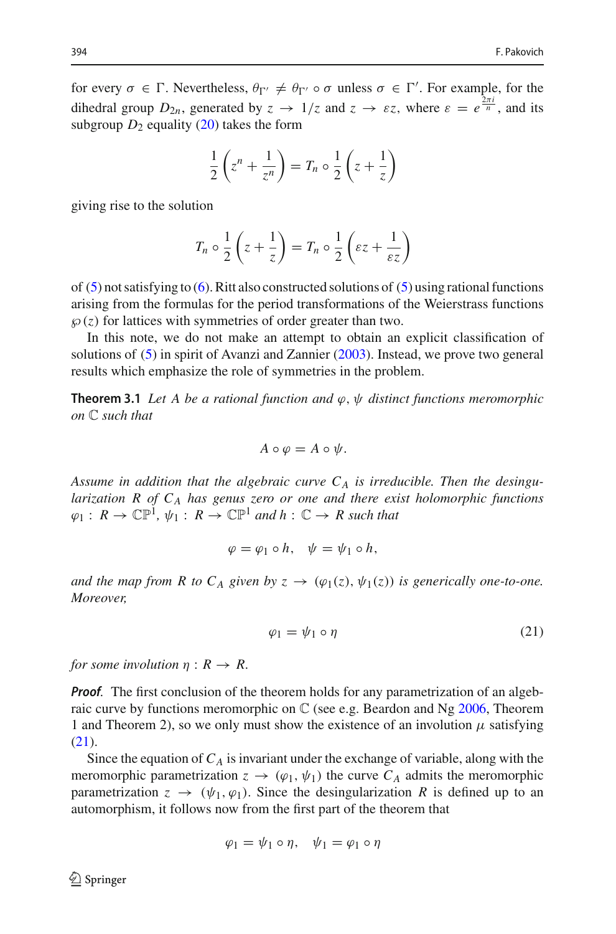for every  $\sigma \in \Gamma$ . Nevertheless,  $\theta_{\Gamma'} \neq \theta_{\Gamma'} \circ \sigma$  unless  $\sigma \in \Gamma'$ . For example, for the dihedral group  $D_{2n}$ , generated by  $z \to 1/z$  and  $z \to \varepsilon z$ , where  $\varepsilon = e^{\frac{2\pi i}{n}}$ , and its subgroup  $D_2$  equality [\(20\)](#page-6-0) takes the form

$$
\frac{1}{2}\left(z^n + \frac{1}{z^n}\right) = T_n \circ \frac{1}{2}\left(z + \frac{1}{z}\right)
$$

giving rise to the solution

$$
T_n \circ \frac{1}{2} \left( z + \frac{1}{z} \right) = T_n \circ \frac{1}{2} \left( \varepsilon z + \frac{1}{\varepsilon z} \right)
$$

of  $(5)$  not satisfying to  $(6)$ . Ritt also constructed solutions of  $(5)$  using rational functions arising from the formulas for the period transformations of the Weierstrass functions  $\varphi(z)$  for lattices with symmetries of order greater than two.

In this note, we do not make an attempt to obtain an explicit classification of solutions of [\(5\)](#page-1-4) in spirit of Avanzi and Zannie[r](#page-8-4) [\(2003](#page-8-4)). Instead, we prove two general results which emphasize the role of symmetries in the problem.

**Theorem 3.1** *Let A be a rational function and*  $\varphi$ ,  $\psi$  *distinct functions meromorphic on* C *such that*

$$
A\circ\varphi=A\circ\psi.
$$

*Assume in addition that the algebraic curve CA is irreducible. Then the desingularization R of CA has genus zero or one and there exist holomorphic functions*  $\varphi_1: R \to \mathbb{CP}^1$ ,  $\psi_1: R \to \mathbb{CP}^1$  and  $h: \mathbb{C} \to R$  such that

$$
\varphi = \varphi_1 \circ h, \quad \psi = \psi_1 \circ h,
$$

*and the map from R to C<sub>A</sub> given by*  $z \rightarrow (\varphi_1(z), \psi_1(z))$  *is generically one-to-one. Moreover,*

<span id="page-7-0"></span>
$$
\varphi_1 = \psi_1 \circ \eta \tag{21}
$$

*for some involution*  $\eta: R \to R$ .

*Proof.* The first conclusion of the theorem holds for any parametrization of an algebraic curve by functions meromorphic on  $\mathbb C$  (see e.[g](#page-9-19). Beardon and Ng [2006](#page-9-19), Theorem 1 and Theorem 2), so we only must show the existence of an involution  $\mu$  satisfying [\(21\)](#page-7-0).

Since the equation of  $C_A$  is invariant under the exchange of variable, along with the meromorphic parametrization  $z \to (\varphi_1, \psi_1)$  the curve  $C_A$  admits the meromorphic parametrization  $z \rightarrow (\psi_1, \varphi_1)$ . Since the desingularization R is defined up to an automorphism, it follows now from the first part of the theorem that

$$
\varphi_1 = \psi_1 \circ \eta, \quad \psi_1 = \varphi_1 \circ \eta
$$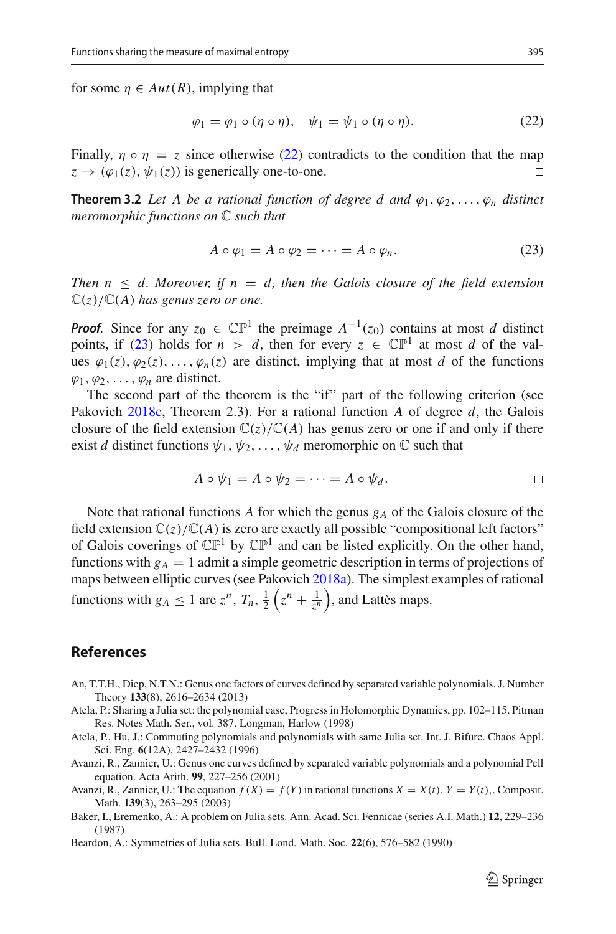for some  $\eta \in Aut(R)$ , implying that

<span id="page-8-7"></span>
$$
\varphi_1 = \varphi_1 \circ (\eta \circ \eta), \quad \psi_1 = \psi_1 \circ (\eta \circ \eta). \tag{22}
$$

Finally,  $\eta \circ \eta = z$  since otherwise [\(22\)](#page-8-7) contradicts to the condition that the map  $z \to (\omega_1(z)) \psi_1(z)$  is generically one-to-one.  $z \rightarrow (\varphi_1(z), \psi_1(z))$  is generically one-to-one.

**Theorem 3.2** *Let A be a rational function of degree d and*  $\varphi_1, \varphi_2, \ldots, \varphi_n$  *distinct meromorphic functions on* C *such that*

<span id="page-8-8"></span>
$$
A \circ \varphi_1 = A \circ \varphi_2 = \dots = A \circ \varphi_n. \tag{23}
$$

*Then*  $n \leq d$ . Moreover, if  $n = d$ , then the Galois closure of the field extension  $\mathbb{C}(z)/\mathbb{C}(A)$  *has genus zero or one.* 

*Proof.* Since for any  $z_0 \in \mathbb{CP}^1$  the preimage  $A^{-1}(z_0)$  contains at most *d* distinct points, if [\(23\)](#page-8-8) holds for  $n > d$ , then for every  $z \in \mathbb{CP}^1$  at most *d* of the values  $\varphi_1(z), \varphi_2(z), \ldots, \varphi_n(z)$  are distinct, implying that at most *d* of the functions  $\varphi_1, \varphi_2, \ldots, \varphi_n$  are distinct.

The second part of the theorem is the "if" part of the following criterion (see Pakovic[h](#page-9-20) [2018c,](#page-9-20) Theorem 2.3). For a rational function *A* of degree *d*, the Galois closure of the field extension  $\mathbb{C}(z)/\mathbb{C}(A)$  has genus zero or one if and only if there exist *d* distinct functions  $\psi_1, \psi_2, \dots, \psi_d$  meromorphic on  $\mathbb C$  such that

$$
A \circ \psi_1 = A \circ \psi_2 = \cdots = A \circ \psi_d.
$$

Note that rational functions A for which the genus  $g_A$  of the Galois closure of the field extension  $\mathbb{C}(z)/\mathbb{C}(A)$  is zero are exactly all possible "compositional left factors" of Galois coverings of  $\mathbb{CP}^1$  by  $\mathbb{CP}^1$  and can be listed explicitly. On the other hand, functions with  $g_A = 1$  admit a simple geometric description in terms of projections of maps between elliptic curves (see Pakovic[h](#page-9-21) [2018a](#page-9-21)). The simplest examples of rational functions with  $g_A \leq 1$  are  $z^n$ ,  $T_n$ ,  $\frac{1}{2} \left( z^n + \frac{1}{z^n} \right)$ , and Lattès maps.

#### **References**

- <span id="page-8-5"></span>An, T.T.H., Diep, N.T.N.: Genus one factors of curves defined by separated variable polynomials. J. Number Theory **133**(8), 2616–2634 (2013)
- <span id="page-8-1"></span>Atela, P.: Sharing a Julia set: the polynomial case, Progress in Holomorphic Dynamics, pp. 102–115. Pitman Res. Notes Math. Ser., vol. 387. Longman, Harlow (1998)
- <span id="page-8-0"></span>Atela, P., Hu, J.: Commuting polynomials and polynomials with same Julia set. Int. J. Bifurc. Chaos Appl. Sci. Eng. **6**(12A), 2427–2432 (1996)
- <span id="page-8-6"></span>Avanzi, R., Zannier, U.: Genus one curves defined by separated variable polynomials and a polynomial Pell equation. Acta Arith. **99**, 227–256 (2001)
- <span id="page-8-4"></span>Avanzi, R., Zannier, U.: The equation  $f(X) = f(Y)$  in rational functions  $X = X(t)$ ,  $Y = Y(t)$ ,. Composit. Math. **139**(3), 263–295 (2003)
- <span id="page-8-2"></span>Baker, I., Eremenko, A.: A problem on Julia sets. Ann. Acad. Sci. Fennicae (series A.I. Math.) **12**, 229–236 (1987)
- <span id="page-8-3"></span>Beardon, A.: Symmetries of Julia sets. Bull. Lond. Math. Soc. **22**(6), 576–582 (1990)